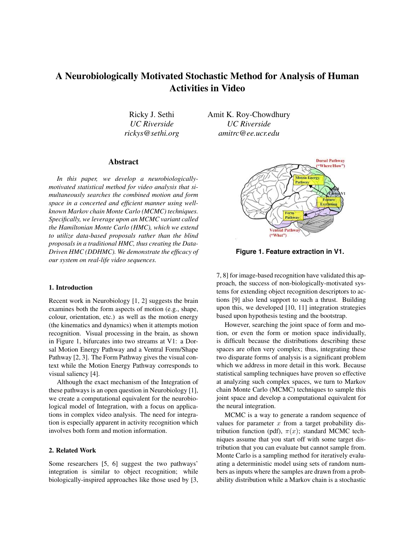# A Neurobiologically Motivated Stochastic Method for Analysis of Human Activities in Video

Ricky J. Sethi *UC Riverside rickys@sethi.org* Amit K. Roy-Chowdhury *UC Riverside amitrc@ee.ucr.edu*

## Abstract

*In this paper, we develop a neurobiologicallymotivated statistical method for video analysis that simultaneously searches the combined motion and form space in a concerted and efficient manner using wellknown Markov chain Monte Carlo (MCMC) techniques. Specifically, we leverage upon an MCMC variant called the Hamiltonian Monte Carlo (HMC), which we extend to utilize data-based proposals rather than the blind proposals in a traditional HMC, thus creating the Data-Driven HMC (DDHMC). We demonstrate the efficacy of our system on real-life video sequences.*

#### 1. Introduction

Recent work in Neurobiology [1, 2] suggests the brain examines both the form aspects of motion (e.g., shape, colour, orientation, etc.) as well as the motion energy (the kinematics and dynamics) when it attempts motion recognition. Visual processing in the brain, as shown in Figure 1, bifurcates into two streams at V1: a Dorsal Motion Energy Pathway and a Ventral Form/Shape Pathway [2, 3]. The Form Pathway gives the visual context while the Motion Energy Pathway corresponds to visual saliency [4].

Although the exact mechanism of the Integration of these pathways is an open question in Neurobiology [1], we create a computational equivalent for the neurobiological model of Integration, with a focus on applications in complex video analysis. The need for integration is especially apparent in activity recognition which involves both form and motion information.

#### 2. Related Work

Some researchers [5, 6] suggest the two pathways' integration is similar to object recognition; while biologically-inspired approaches like those used by [3,



**Figure 1. Feature extraction in V1.**

7, 8] for image-based recognition have validated this approach, the success of non-biologically-motivated systems for extending object recognition descriptors to actions [9] also lend support to such a thrust. Building upon this, we developed [10, 11] integration strategies based upon hypothesis testing and the bootstrap.

However, searching the joint space of form and motion, or even the form or motion space individually, is difficult because the distributions describing these spaces are often very complex; thus, integrating these two disparate forms of analysis is a significant problem which we address in more detail in this work. Because statistical sampling techniques have proven so effective at analyzing such complex spaces, we turn to Markov chain Monte Carlo (MCMC) techniques to sample this joint space and develop a computational equivalent for the neural integration.

MCMC is a way to generate a random sequence of values for parameter  $x$  from a target probability distribution function (pdf),  $\pi(x)$ ; standard MCMC techniques assume that you start off with some target distribution that you can evaluate but cannot sample from. Monte Carlo is a sampling method for iteratively evaluating a deterministic model using sets of random numbers as inputs where the samples are drawn from a probability distribution while a Markov chain is a stochastic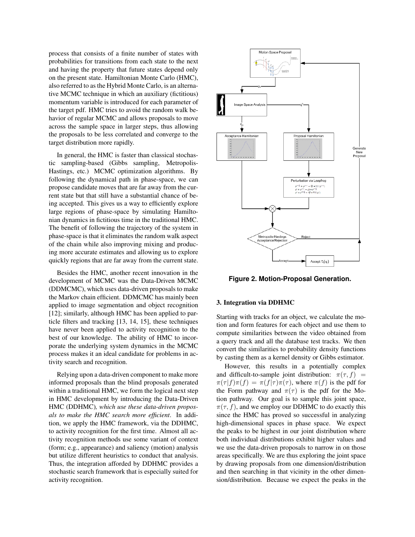process that consists of a finite number of states with probabilities for transitions from each state to the next and having the property that future states depend only on the present state. Hamiltonian Monte Carlo (HMC), also referred to as the Hybrid Monte Carlo, is an alternative MCMC technique in which an auxiliary (fictitious) momentum variable is introduced for each parameter of the target pdf. HMC tries to avoid the random walk behavior of regular MCMC and allows proposals to move across the sample space in larger steps, thus allowing the proposals to be less correlated and converge to the target distribution more rapidly.

In general, the HMC is faster than classical stochastic sampling-based (Gibbs sampling, Metropolis-Hastings, etc.) MCMC optimization algorithms. By following the dynamical path in phase-space, we can propose candidate moves that are far away from the current state but that still have a substantial chance of being accepted. This gives us a way to efficiently explore large regions of phase-space by simulating Hamiltonian dynamics in fictitious time in the traditional HMC. The benefit of following the trajectory of the system in phase-space is that it eliminates the random walk aspect of the chain while also improving mixing and producing more accurate estimates and allowing us to explore quickly regions that are far away from the current state.

Besides the HMC, another recent innovation in the development of MCMC was the Data-Driven MCMC (DDMCMC), which uses data-driven proposals to make the Markov chain efficient. DDMCMC has mainly been applied to image segmentation and object recognition [12]; similarly, although HMC has been applied to particle filters and tracking [13, 14, 15], these techniques have never been applied to activity recognition to the best of our knowledge. The ability of HMC to incorporate the underlying system dynamics in the MCMC process makes it an ideal candidate for problems in activity search and recognition.

Relying upon a data-driven component to make more informed proposals than the blind proposals generated within a traditional HMC, we form the logical next step in HMC development by introducing the Data-Driven HMC (DDHMC)*, which use these data-driven proposals to make the HMC search more efficient*. In addition, we apply the HMC framework, via the DDHMC, to activity recognition for the first time. Almost all activity recognition methods use some variant of context (form; e.g., appearance) and saliency (motion) analysis but utilize different heuristics to conduct that analysis. Thus, the integration afforded by DDHMC provides a stochastic search framework that is especially suited for activity recognition.



**Figure 2. Motion-Proposal Generation.**

#### 3. Integration via DDHMC

Starting with tracks for an object, we calculate the motion and form features for each object and use them to compute similarities between the video obtained from a query track and all the database test tracks. We then convert the similarities to probability density functions by casting them as a kernel density or Gibbs estimator.

However, this results in a potentially complex and difficult-to-sample joint distribution:  $\pi(\tau, f)$  =  $\pi(\tau | f) \pi(f) = \pi(f | \tau) \pi(\tau)$ , where  $\pi(f)$  is the pdf for the Form pathway and  $\pi(\tau)$  is the pdf for the Motion pathway. Our goal is to sample this joint space,  $\pi(\tau, f)$ , and we employ our DDHMC to do exactly this since the HMC has proved so successful in analyzing high-dimensional spaces in phase space. We expect the peaks to be highest in our joint distribution where both individual distributions exhibit higher values and we use the data-driven proposals to narrow in on those areas specifically. We are thus exploring the joint space by drawing proposals from one dimension/distribution and then searching in that vicinity in the other dimension/distribution. Because we expect the peaks in the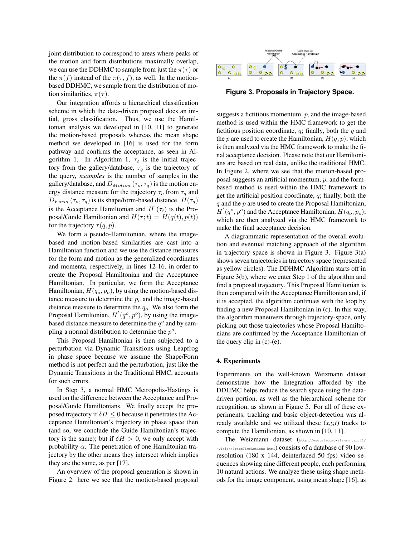joint distribution to correspond to areas where peaks of the motion and form distributions maximally overlap, we can use the DDHMC to sample from just the  $\pi(\tau)$  or the  $\pi(f)$  instead of the  $\pi(\tau, f)$ , as well. In the motionbased DDHMC, we sample from the distribution of motion similarities,  $\pi(\tau)$ .

Our integration affords a hierarchical classification scheme in which the data-driven proposal does an initial, gross classification. Thus, we use the Hamiltonian analysis we developed in [10, 11] to generate the motion-based proposals whereas the mean shape method we developed in [16] is used for the form pathway and confirms the acceptance, as seen in Algorithm 1. In Algorithm 1,  $\tau_o$  is the initial trajectory from the gallery/database,  $\tau_q$  is the trajectory of the query, *nsamples* is the number of samples in the gallery/database, and  $D_{Motion}$  ( $\tau_o$ ,  $\tau_q$ ) is the motion energy distance measure for the trajectory  $\tau_o$  from  $\tau_q$  and  $D_{Form}(\tau_o, \tau_q)$  is its shape/form-based distance.  $H(\tau_q)$ is the Acceptance Hamiltonian and  $H'(\tau_i)$  is the Proposal/Guide Hamiltonian and  $H(\tau; t) = H(q(t), p(t))$ for the trajectory  $\tau(q, p)$ .

We form a pseudo-Hamiltonian, where the imagebased and motion-based similarities are cast into a Hamiltonian function and we use the distance measures for the form and motion as the generalized coordinates and momenta, respectively, in lines 12-16, in order to create the Proposal Hamiltonian and the Acceptance Hamiltonian. In particular, we form the Acceptance Hamiltonian,  $H(q_o, p_o)$ , by using the motion-based distance measure to determine the  $p<sub>o</sub>$  and the image-based distance measure to determine the  $q<sub>o</sub>$ . We also form the Proposal Hamiltonian,  $H^{'}(q^o, p^o)$ , by using the imagebased distance measure to determine the  $q<sup>o</sup>$  and by sampling a normal distribution to determine the  $p^o$ .

This Proposal Hamiltonian is then subjected to a perturbation via Dynamic Transitions using Leapfrog in phase space because we assume the Shape/Form method is not perfect and the perturbation, just like the Dynamic Transitions in the Traditional HMC, accounts for such errors.

In Step 3, a normal HMC Metropolis-Hastings is used on the difference between the Acceptance and Proposal/Guide Hamiltonians. We finally accept the proposed trajectory if  $\delta H \leq 0$  because it penetrates the Acceptance Hamiltonian's trajectory in phase space then (and so, we conclude the Guide Hamiltonian's trajectory is the same); but if  $\delta H > 0$ , we only accept with probability  $\alpha$ . The penetration of one Hamiltonian trajectory by the other means they intersect which implies they are the same, as per [17].

An overview of the proposal generation is shown in Figure 2: here we see that the motion-based proposal



**Figure 3. Proposals in Trajectory Space.**

suggests a fictitious momentum,  $p$ , and the image-based method is used within the HMC framework to get the fictitious position coordinate,  $q$ ; finally, both the  $q$  and the p are used to create the Hamiltonian,  $H(q, p)$ , which is then analyzed via the HMC framework to make the final acceptance decision. Please note that our Hamiltonians are based on real data, unlike the traditional HMC. In Figure 2, where we see that the motion-based proposal suggests an artificial momentum, p, and the formbased method is used within the HMC framework to get the artificial position coordinate,  $q$ ; finally, both the  $q$  and the  $p$  are used to create the Proposal Hamiltonian,  $H'(q^o, p^o)$  and the Acceptance Hamiltonian,  $H(q_o, p_o)$ , which are then analyzed via the HMC framework to make the final acceptance decision.

A diagrammatic representation of the overall evolution and eventual matching approach of the algorithm in trajectory space is shown in Figure 3. Figure  $3(a)$ shows seven trajectories in trajectory space (represented as yellow circles). The DDHMC Algorithm starts off in Figure 3(b), where we enter Step 1 of the algorithm and find a proposal trajectory. This Proposal Hamiltonian is then compared with the Acceptance Hamiltonian and, if it is accepted, the algorithm continues with the loop by finding a new Proposal Hamiltonian in (c). In this way, the algorithm maneuvers through trajectory-space, only picking out those trajectories whose Proposal Hamiltonians are confirmed by the Acceptance Hamiltonian of the query clip in  $(c)-(e)$ .

#### 4. Experiments

Experiments on the well-known Weizmann dataset demonstrate how the Integration afforded by the DDHMC helps reduce the search space using the datadriven portion, as well as the hierarchical scheme for recognition, as shown in Figure 5. For all of these experiments, tracking and basic object-detection was already available and we utilized these  $(x, y, t)$  tracks to compute the Hamiltonian, as shown in [10, 11].

The Weizmann dataset (http://www.wisdom.weizmann.ac.il/ ~vision/SpaceTimeActions.html) consists of a database of 90 lowresolution (180 x 144, deinterlaced 50 fps) video sequences showing nine different people, each performing 10 natural actions. We analyze these using shape methods for the image component, using mean shape [16], as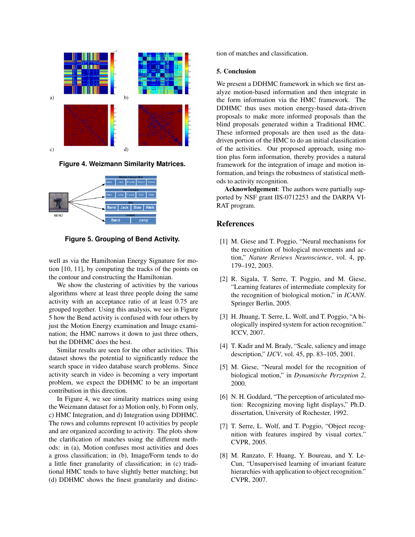







well as via the Hamiltonian Energy Signature for motion [10, 11], by computing the tracks of the points on the contour and constructing the Hamiltonian.

We show the clustering of activities by the various algorithms where at least three people doing the same activity with an acceptance ratio of at least 0.75 are grouped together. Using this analysis, we see in Figure 5 how the Bend activity is confused with four others by just the Motion Energy examination and Image examination; the HMC narrows it down to just three others, but the DDHMC does the best.

Similar results are seen for the other activities. This dataset shows the potential to significantly reduce the search space in video database search problems. Since activity search in video is becoming a very important problem, we expect the DDHMC to be an important contribution in this direction.

In Figure 4, we see similarity matrices using using the Weizmann dataset for a) Motion only, b) Form only, c) HMC Integration, and d) Integration using DDHMC. The rows and columns represent 10 activities by people and are organized according to activity. The plots show the clarification of matches using the different methods: in (a), Motion confuses most activities and does a gross classification; in (b), Image/Form tends to do a little finer granularity of classification; in (c) traditional HMC tends to have slightly better matching; but (d) DDHMC shows the finest granularity and distinction of matches and classification.

#### 5. Conclusion

We present a DDHMC framework in which we first analyze motion-based information and then integrate in the form information via the HMC framework. The DDHMC thus uses motion energy-based data-driven proposals to make more informed proposals than the blind proposals generated within a Traditional HMC. These informed proposals are then used as the datadriven portion of the HMC to do an initial classification of the activities. Our proposed approach, using motion plus form information, thereby provides a natural framework for the integration of image and motion information, and brings the robustness of statistical methods to activity recognition.

Acknowledgement: The authors were partially supported by NSF grant IIS-0712253 and the DARPA VI-RAT program.

### References

- [1] M. Giese and T. Poggio, "Neural mechanisms for the recognition of biological movements and action," *Nature Reviews Neuroscience*, vol. 4, pp. 179–192, 2003.
- [2] R. Sigala, T. Serre, T. Poggio, and M. Giese, "Learning features of intermediate complexity for the recognition of biological motion," in *ICANN*. Springer Berlin, 2005.
- [3] H. Jhuang, T. Serre, L. Wolf, and T. Poggio, "A biologically inspired system for action recognition." ICCV, 2007.
- [4] T. Kadir and M. Brady, "Scale, saliency and image description," *IJCV*, vol. 45, pp. 83–105, 2001.
- [5] M. Giese, "Neural model for the recognition of biological motion," in *Dynamische Perzeption 2*, 2000.
- [6] N. H. Goddard, "The perception of articulated motion: Recognizing moving light displays," Ph.D. dissertation, University of Rochester, 1992.
- [7] T. Serre, L. Wolf, and T. Poggio, "Object recognition with features inspired by visual cortex." CVPR, 2005.
- [8] M. Ranzato, F. Huang, Y. Boureau, and Y. Le-Cun, "Unsupervised learning of invariant feature hierarchies with application to object recognition." CVPR, 2007.